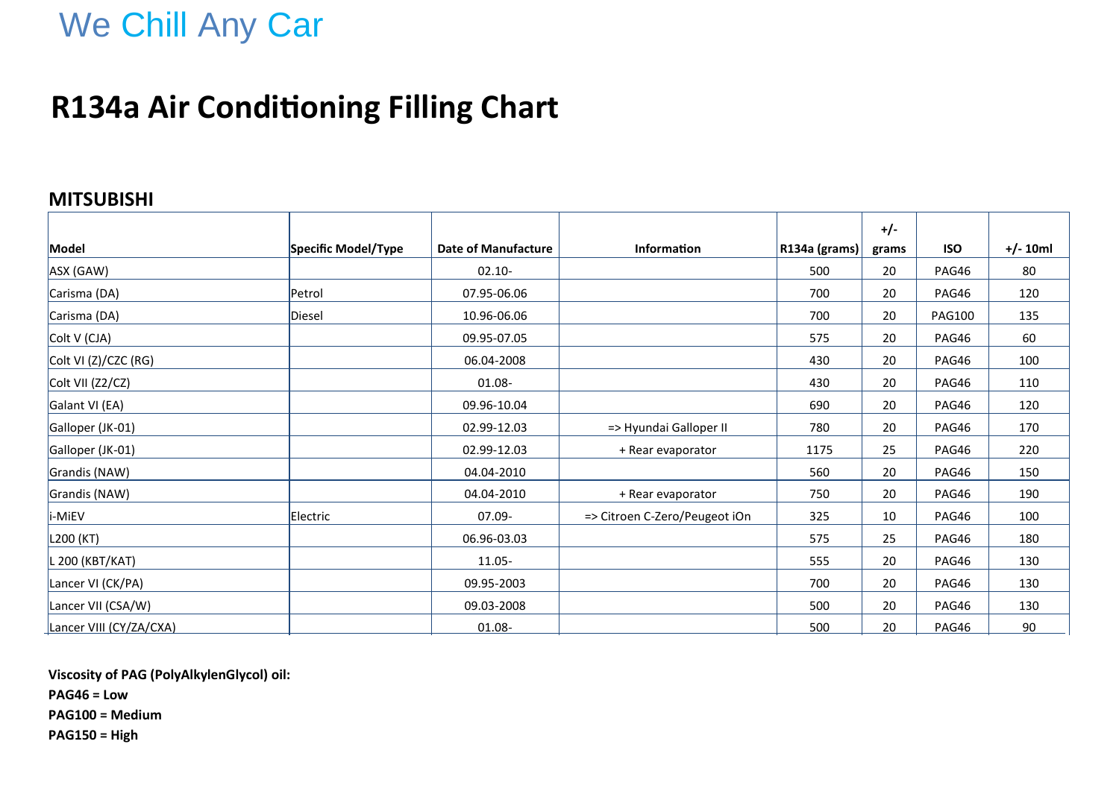## We Chill Any Car

### **R134a Air Conditioning Filling Chart**

#### **MITSUBISHI**

|                         |                     |                            |                               |               | $+/-$ |               |            |
|-------------------------|---------------------|----------------------------|-------------------------------|---------------|-------|---------------|------------|
| Model                   | Specific Model/Type | <b>Date of Manufacture</b> | <b>Information</b>            | R134a (grams) | grams | <b>ISO</b>    | $+/- 10ml$ |
| ASX (GAW)               |                     | $02.10 -$                  |                               | 500           | 20    | PAG46         | 80         |
| Carisma (DA)            | Petrol              | 07.95-06.06                |                               | 700           | 20    | PAG46         | 120        |
| Carisma (DA)            | Diesel              | 10.96-06.06                |                               | 700           | 20    | <b>PAG100</b> | 135        |
| Colt V (CJA)            |                     | 09.95-07.05                |                               | 575           | 20    | PAG46         | 60         |
| Colt VI (Z)/CZC (RG)    |                     | 06.04-2008                 |                               | 430           | 20    | PAG46         | 100        |
| Colt VII (Z2/CZ)        |                     | 01.08-                     |                               | 430           | 20    | PAG46         | 110        |
| Galant VI (EA)          |                     | 09.96-10.04                |                               | 690           | 20    | PAG46         | 120        |
| Galloper (JK-01)        |                     | 02.99-12.03                | => Hyundai Galloper II        | 780           | 20    | PAG46         | 170        |
| Galloper (JK-01)        |                     | 02.99-12.03                | + Rear evaporator             | 1175          | 25    | PAG46         | 220        |
| Grandis (NAW)           |                     | 04.04-2010                 |                               | 560           | 20    | PAG46         | 150        |
| Grandis (NAW)           |                     | 04.04-2010                 | + Rear evaporator             | 750           | 20    | PAG46         | 190        |
| i-MiEV                  | Electric            | 07.09-                     | => Citroen C-Zero/Peugeot iOn | 325           | 10    | PAG46         | 100        |
| L200 (KT)               |                     | 06.96-03.03                |                               | 575           | 25    | PAG46         | 180        |
| L 200 (KBT/KAT)         |                     | 11.05-                     |                               | 555           | 20    | PAG46         | 130        |
| Lancer VI (CK/PA)       |                     | 09.95-2003                 |                               | 700           | 20    | PAG46         | 130        |
| Lancer VII (CSA/W)      |                     | 09.03-2008                 |                               | 500           | 20    | PAG46         | 130        |
| Lancer VIII (CY/ZA/CXA) |                     | $01.08 -$                  |                               | 500           | 20    | <b>PAG46</b>  | 90         |

**Viscosity of PAG (PolyAlkylenGlycol) oil:**

**PAG46 = Low**

**PAG100 = Medium**

**PAG150 = High**